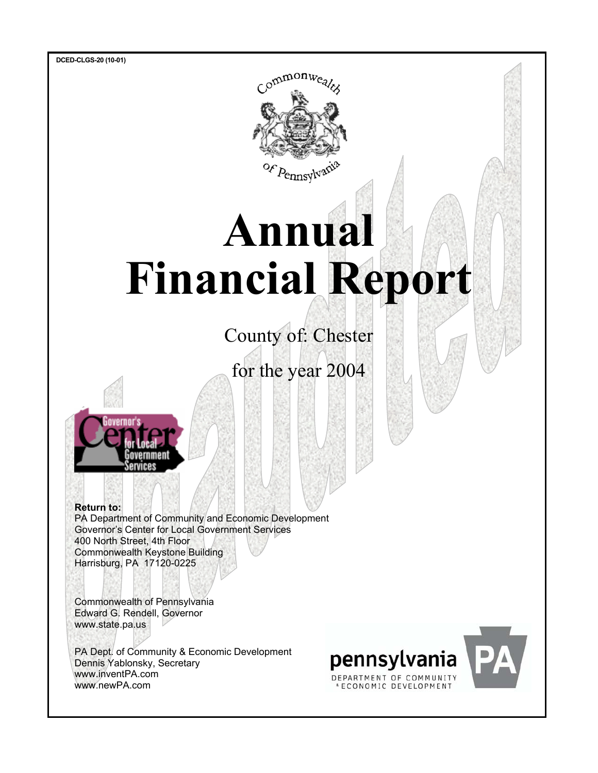**DCED-CLGS-20 (10-01)** 



# **Annual Financial Report**

County of: Chester

for the year 2004



**Return to:**  PA Department of Community and Economic Development Governor's Center for Local Government Services 400 North Street, 4th Floor Commonwealth Keystone Building Harrisburg, PA 17120-0225

Commonwealth of Pennsylvania Edward G. Rendell, Governor www.state.pa.us

PA Dept. of Community & Economic Development Dennis Yablonsky, Secretary www.inventPA.com www.newPA.com

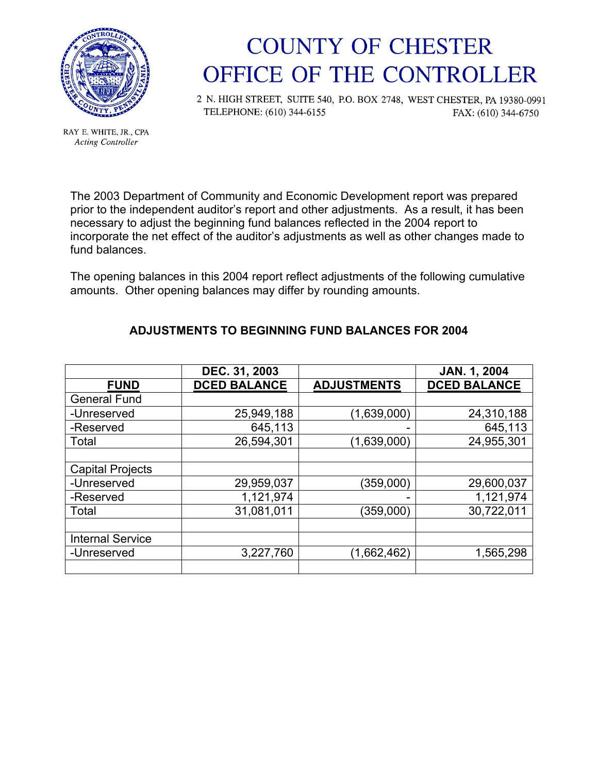

RAY E. WHITE, JR., CPA **Acting Controller** 

### **COUNTY OF CHESTER** OFFICE OF THE CONTROLLER

2 N. HIGH STREET, SUITE 540, P.O. BOX 2748, WEST CHESTER, PA 19380-0991 TELEPHONE: (610) 344-6155 FAX: (610) 344-6750

The 2003 Department of Community and Economic Development report was prepared prior to the independent auditor's report and other adjustments. As a result, it has been necessary to adjust the beginning fund balances reflected in the 2004 report to incorporate the net effect of the auditor's adjustments as well as other changes made to fund balances.

The opening balances in this 2004 report reflect adjustments of the following cumulative amounts. Other opening balances may differ by rounding amounts.

|                         | DEC. 31, 2003       |                    | <b>JAN. 1, 2004</b> |
|-------------------------|---------------------|--------------------|---------------------|
| <b>FUND</b>             | <b>DCED BALANCE</b> | <b>ADJUSTMENTS</b> | <b>DCED BALANCE</b> |
| <b>General Fund</b>     |                     |                    |                     |
| -Unreserved             | 25,949,188          | (1,639,000)        | 24,310,188          |
| -Reserved               | 645,113             |                    | 645,113             |
| Total                   | 26,594,301          | (1,639,000)        | 24,955,301          |
|                         |                     |                    |                     |
| <b>Capital Projects</b> |                     |                    |                     |
| -Unreserved             | 29,959,037          | (359,000)          | 29,600,037          |
| -Reserved               | 1,121,974           |                    | 1,121,974           |
| Total                   | 31,081,011          | (359,000)          | 30,722,011          |
|                         |                     |                    |                     |
| <b>Internal Service</b> |                     |                    |                     |
| -Unreserved             | 3,227,760           | (1,662,462)        | 1,565,298           |
|                         |                     |                    |                     |

#### **ADJUSTMENTS TO BEGINNING FUND BALANCES FOR 2004**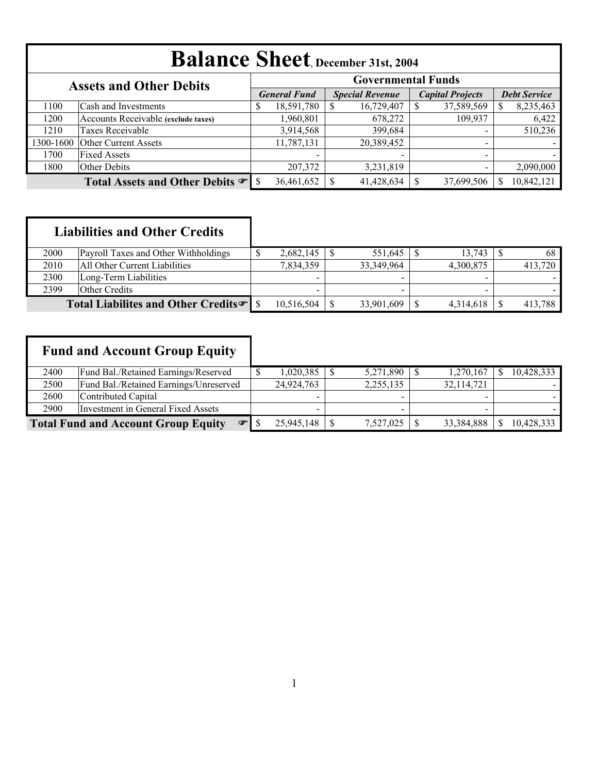| <b>Balance Sheet</b> , December 31st, 2004                  |                                     |    |                     |  |                        |  |                          |                     |            |  |  |  |
|-------------------------------------------------------------|-------------------------------------|----|---------------------|--|------------------------|--|--------------------------|---------------------|------------|--|--|--|
| <b>Governmental Funds</b><br><b>Assets and Other Debits</b> |                                     |    |                     |  |                        |  |                          |                     |            |  |  |  |
|                                                             |                                     |    | <b>General Fund</b> |  | <b>Special Revenue</b> |  | <b>Capital Projects</b>  | <b>Debt Service</b> |            |  |  |  |
| 1100                                                        | Cash and Investments                | \$ | 18,591,780          |  | 16,729,407             |  | 37,589,569               |                     | 8,235,463  |  |  |  |
| 1200                                                        | Accounts Receivable (exclude taxes) |    | 1,960,801           |  | 678,272                |  | 109,937                  |                     | 6,422      |  |  |  |
| 1210                                                        | Taxes Receivable                    |    | 3,914,568           |  | 399,684                |  |                          |                     | 510,236    |  |  |  |
| 1300-1600                                                   | <b>Other Current Assets</b>         |    | 11,787,131          |  | 20,389,452             |  | $\overline{\phantom{0}}$ |                     |            |  |  |  |
| 1700                                                        | <b>Fixed Assets</b>                 |    |                     |  |                        |  | $\overline{\phantom{a}}$ |                     |            |  |  |  |
| 1800                                                        | Other Debits                        |    | 207,372             |  | 3,231,819              |  | $\overline{\phantom{0}}$ |                     | 2,090,000  |  |  |  |
|                                                             |                                     |    | 36,461,652          |  | 41,428,634             |  | 37,699,506               |                     | 10,842,121 |  |  |  |

|      | <b>Liabilities and Other Credits</b>            |            |            |           |         |
|------|-------------------------------------------------|------------|------------|-----------|---------|
| 2000 | Payroll Taxes and Other Withholdings            | 2,682,145  | 551,645    | 13.743    | 68      |
| 2010 | All Other Current Liabilities                   | 7,834,359  | 33,349,964 | 4,300,875 | 413,720 |
| 2300 | Long-Term Liabilities                           |            |            |           |         |
| 2399 | <b>Other Credits</b>                            |            |            |           |         |
|      | Total Liabilites and Other Credits <sup>®</sup> | 10,516,504 | 33,901,609 | 4,314,618 | 413,788 |

|      | <b>Fund and Account Group Equity</b>             |            |           |            |            |
|------|--------------------------------------------------|------------|-----------|------------|------------|
| 2400 | Fund Bal./Retained Earnings/Reserved             | 1,020,385  | 5,271,890 | 1,270,167  | 10,428,333 |
| 2500 | Fund Bal./Retained Earnings/Unreserved           | 24,924,763 | 2,255,135 | 32,114,721 |            |
| 2600 | Contributed Capital                              |            |           |            |            |
| 2900 | Investment in General Fixed Assets               |            | -         |            |            |
|      | <b>Total Fund and Account Group Equity</b><br>œΙ | 25,945,148 | 7,527,025 | 33,384,888 | 10,428,333 |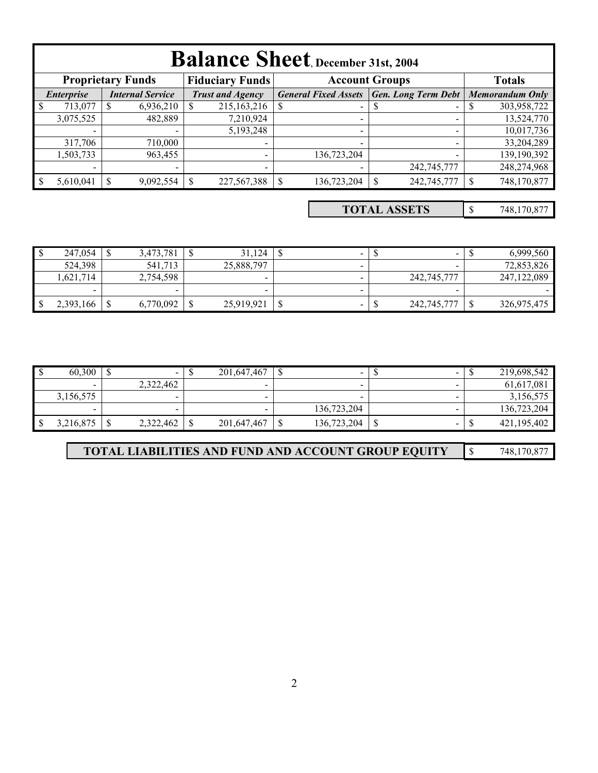|                                              | <b>Balance Sheet</b> , December 31st, 2004                                                   |  |                          |  |                         |  |                             |  |                            |  |                        |  |
|----------------------------------------------|----------------------------------------------------------------------------------------------|--|--------------------------|--|-------------------------|--|-----------------------------|--|----------------------------|--|------------------------|--|
|                                              | <b>Proprietary Funds</b><br><b>Fiduciary Funds</b><br><b>Account Groups</b><br><b>Totals</b> |  |                          |  |                         |  |                             |  |                            |  |                        |  |
| <b>Internal Service</b><br><b>Enterprise</b> |                                                                                              |  |                          |  | <b>Trust and Agency</b> |  | <b>General Fixed Assets</b> |  | <b>Gen. Long Term Debt</b> |  | <b>Memorandum Only</b> |  |
| $\mathbf{\hat{s}}$                           | 713,077                                                                                      |  | 6,936,210                |  | 215, 163, 216           |  | $\blacksquare$              |  |                            |  | 303,958,722            |  |
|                                              | 3,075,525                                                                                    |  | 482,889                  |  | 7,210,924               |  | $\overline{\phantom{0}}$    |  |                            |  | 13,524,770             |  |
|                                              |                                                                                              |  |                          |  | 5,193,248               |  | -                           |  |                            |  | 10,017,736             |  |
|                                              | 317,706                                                                                      |  | 710,000                  |  |                         |  |                             |  |                            |  | 33,204,289             |  |
|                                              | 1,503,733                                                                                    |  | 963,455                  |  |                         |  | 136,723,204                 |  |                            |  | 139,190,392            |  |
|                                              | $\,$                                                                                         |  | $\overline{\phantom{a}}$ |  | -                       |  |                             |  | 242,745,777                |  | 248,274,968            |  |
|                                              | 5,610,041                                                                                    |  | 9,092,554                |  | 227,567,388             |  | 136,723,204                 |  | 242,745,777                |  | 748,170,877            |  |

\$ 748,170,877 **TOTAL ASSETS**

| $\mathbf{\Phi}$<br>Ιυ | 247,054                  | .781<br>3.473. |   | 31,124     | $\overline{\phantom{0}}$ | -           | 6,999,560     |
|-----------------------|--------------------------|----------------|---|------------|--------------------------|-------------|---------------|
|                       | 524,398                  | 541,713        |   | 25,888,797 | $\sim$                   |             | 72,853,826    |
|                       | .621,714                 | 2,754,598      |   |            |                          | 242,745,777 | 247, 122, 089 |
|                       | $\overline{\phantom{0}}$ | $\sim$         |   | -          |                          |             |               |
| l \$                  | 2,393,166                | 6,770,092      | ∩ | 25,919,921 | $\overline{\phantom{0}}$ | 242,745,777 | 326,975,475   |

| ം   | 60,300    | $\overline{\phantom{0}}$ | ₼<br>۰U | 201,647,467 | ۰D | $\overline{\phantom{a}}$ | $\sim$ |    | 219,698,542 |
|-----|-----------|--------------------------|---------|-------------|----|--------------------------|--------|----|-------------|
|     |           | 2,322,462                |         | $\sim$      |    |                          | $\sim$ |    | 61,617,081  |
|     | 3,156,575 | $\sim$                   |         |             |    |                          | $\sim$ |    | 3,156,575   |
|     |           |                          |         |             |    | 136.723.204              |        |    | 136,723,204 |
| -\$ | 3,216,875 | 2,322,462                | ╓       | 201,647,467 |    | 136,723,204              | $\sim$ | мD | 421,195,402 |

| <b>TOTAL LIABILITIES AND FUND AND ACCOUNT GROUP EQUITY</b> |  | 748,170,877 |
|------------------------------------------------------------|--|-------------|
|------------------------------------------------------------|--|-------------|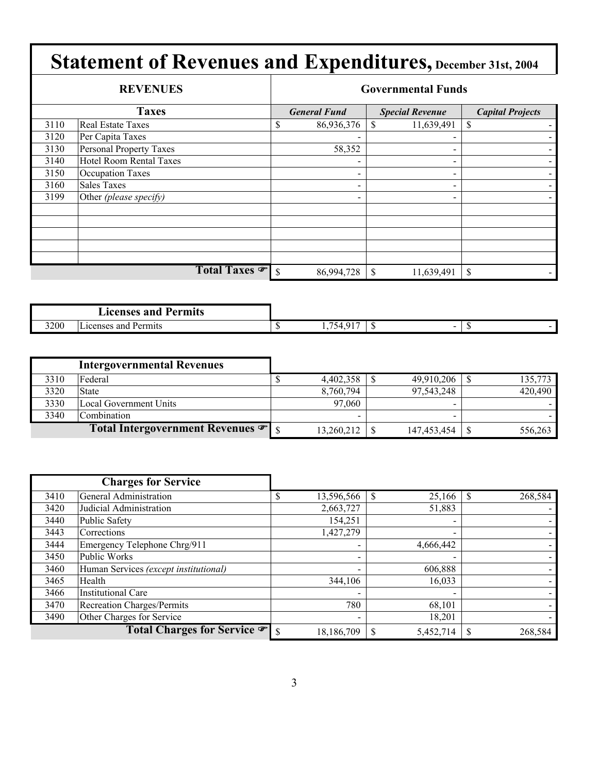|      | <b>REVENUES</b>         |    |                          |               | <b>Governmental Funds</b> |                         |
|------|-------------------------|----|--------------------------|---------------|---------------------------|-------------------------|
|      | <b>Taxes</b>            |    | <b>General Fund</b>      |               | <b>Special Revenue</b>    | <b>Capital Projects</b> |
| 3110 | Real Estate Taxes       | \$ | 86,936,376               |               | 11,639,491                | S                       |
| 3120 | Per Capita Taxes        |    |                          |               |                           |                         |
| 3130 | Personal Property Taxes |    | 58,352                   |               |                           |                         |
| 3140 | Hotel Room Rental Taxes |    |                          |               |                           |                         |
| 3150 | <b>Occupation Taxes</b> |    |                          |               | $\qquad \qquad$           |                         |
| 3160 | <b>Sales Taxes</b>      |    | $\qquad \qquad$          |               |                           |                         |
| 3199 | Other (please specify)  |    | $\overline{\phantom{0}}$ |               | -                         |                         |
|      |                         |    |                          |               |                           |                         |
|      |                         |    |                          |               |                           |                         |
|      |                         |    |                          |               |                           |                         |
|      |                         |    |                          |               |                           |                         |
|      |                         |    |                          |               |                           |                         |
|      | Total Taxes             | -S | 86,994,728               | $\mathcal{S}$ | 11,639,491                | S                       |

|      | <b>Licenses and</b><br>Permits    |                                                    |     |   |  |
|------|-----------------------------------|----------------------------------------------------|-----|---|--|
| 3200 | $\sim$<br>Licenses and<br>Permits | $\sim$ $\sim$ $\sim$<br>754<br>$\cdot \cdot \cdot$ | -11 | - |  |

|      | <b>Intergovernmental Revenues</b>              |            |             |         |
|------|------------------------------------------------|------------|-------------|---------|
| 3310 | Federal                                        | 4,402,358  | 49,910,206  | 135,773 |
| 3320 | <b>State</b>                                   | 8,760,794  | 97,543,248  | 420,490 |
| 3330 | Local Government Units                         | 97,060     |             |         |
| 3340 | Combination                                    | $\,$       | -           |         |
|      | Total Intergovernment Revenues $\mathcal{F}$ s | 13,260,212 | 147,453,454 | 556,263 |

|      | <b>Charges for Service</b>            |            |                          |         |
|------|---------------------------------------|------------|--------------------------|---------|
| 3410 | General Administration                | 13,596,566 | 25,166                   | 268,584 |
| 3420 | Judicial Administration               | 2,663,727  | 51,883                   |         |
| 3440 | Public Safety                         | 154,251    | $\blacksquare$           |         |
| 3443 | Corrections                           | 1,427,279  | $\overline{\phantom{0}}$ |         |
| 3444 | Emergency Telephone Chrg/911          |            | 4,666,442                |         |
| 3450 | Public Works                          |            |                          |         |
| 3460 | Human Services (except institutional) |            | 606,888                  |         |
| 3465 | Health                                | 344,106    | 16,033                   |         |
| 3466 | <b>Institutional Care</b>             |            |                          |         |
| 3470 | Recreation Charges/Permits            | 780        | 68,101                   |         |
| 3490 | Other Charges for Service             |            | 18,201                   |         |
|      | Total Charges for Service • s         | 18,186,709 | 5,452,714                | 268,584 |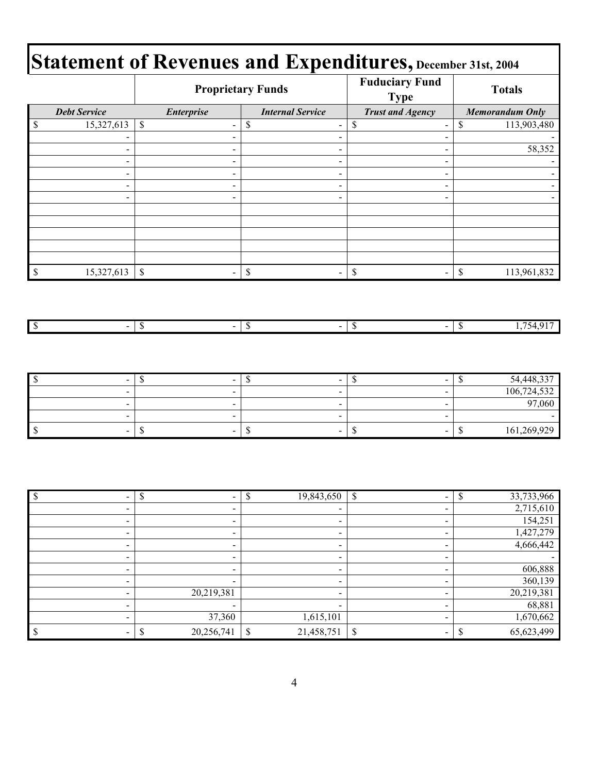#### **Fuduciary Fund Type Totals Proprietary Funds Statement of Revenues and Expenditures, December 31st, 2004**

|              |                                            |                                                      | Troprictary Punus                                             | <b>Type</b>                                              | I Otals                           |  |  |
|--------------|--------------------------------------------|------------------------------------------------------|---------------------------------------------------------------|----------------------------------------------------------|-----------------------------------|--|--|
|              | <b>Debt Service</b>                        | <b>Enterprise</b>                                    | <b>Internal Service</b>                                       | <b>Trust and Agency</b>                                  | <b>Memorandum Only</b>            |  |  |
| $\mathbb S$  | 15,327,613                                 | \$<br>$\overline{\phantom{a}}$                       | $\mathbb S$<br>$\blacksquare$                                 | $\overline{\mathcal{S}}$<br>$\blacksquare$               | 113,903,480<br>\$                 |  |  |
|              | -                                          |                                                      | $\blacksquare$                                                | -                                                        |                                   |  |  |
|              | $\overline{\phantom{0}}$                   |                                                      | $\blacksquare$                                                | $\blacksquare$                                           | 58,352                            |  |  |
|              | $\blacksquare$                             | $\qquad \qquad \blacksquare$                         | $\blacksquare$                                                | $\blacksquare$                                           |                                   |  |  |
|              | $\blacksquare$                             | $\overline{\phantom{a}}$                             | $\blacksquare$                                                | $\blacksquare$                                           |                                   |  |  |
|              | $\blacksquare$<br>$\overline{\phantom{0}}$ | $\overline{\phantom{0}}$                             | $\blacksquare$<br>$\blacksquare$                              | -<br>$\overline{\phantom{0}}$                            |                                   |  |  |
|              |                                            |                                                      |                                                               |                                                          |                                   |  |  |
|              |                                            |                                                      |                                                               |                                                          |                                   |  |  |
|              |                                            |                                                      |                                                               |                                                          |                                   |  |  |
|              |                                            |                                                      |                                                               |                                                          |                                   |  |  |
|              |                                            |                                                      |                                                               |                                                          |                                   |  |  |
| $\mathbb S$  | 15,327,613                                 | $\mathbb S$<br>$\blacksquare$                        | $\mathbb{S}% _{t}\left( t\right)$<br>$\overline{\phantom{0}}$ | $\mathbb S$<br>$\qquad \qquad \blacksquare$              | 113,961,832<br>$\mathbb S$        |  |  |
| $\sqrt{s}$   | $\blacksquare$                             | $\sqrt{S}$<br>$\blacksquare$                         | $\sqrt{\frac{2}{5}}$<br>$\blacksquare$                        | $\sqrt{3}$<br>$\blacksquare$                             | 1,754,917<br>$\sqrt{\frac{2}{5}}$ |  |  |
|              |                                            |                                                      |                                                               |                                                          |                                   |  |  |
| \$           | $\blacksquare$                             | $\overline{\mathcal{S}}$<br>$\overline{\phantom{a}}$ | $\overline{\mathcal{S}}$<br>$\qquad \qquad \blacksquare$      | $\overline{\mathcal{S}}$<br>$\qquad \qquad \blacksquare$ | 54,448,337<br>$\sqrt{3}$          |  |  |
|              | $\frac{1}{2}$                              |                                                      | $\blacksquare$                                                | $\overline{\phantom{0}}$                                 | 106,724,532                       |  |  |
|              | $\blacksquare$                             |                                                      | $\blacksquare$                                                | $\blacksquare$                                           | 97,060                            |  |  |
|              | $\frac{1}{2}$                              |                                                      | $\blacksquare$                                                | $\overline{\phantom{0}}$                                 |                                   |  |  |
| $\mathbb{S}$ | $\overline{\phantom{a}}$                   | $\mathbb S$                                          | $\mathbb S$                                                   | $\mathbb{S}$<br>$\overline{\phantom{0}}$                 | $\mathbb S$<br>161,269,929        |  |  |
|              |                                            |                                                      |                                                               |                                                          |                                   |  |  |
| $\$$         | $\blacksquare$                             | \$                                                   | 19,843,650<br>\$                                              | \$<br>$\blacksquare$                                     | 33,733,966<br>\$                  |  |  |
|              | $\blacksquare$                             | $\blacksquare$                                       | $\blacksquare$                                                | $\blacksquare$                                           | 2,715,610                         |  |  |

| $\overline{\phantom{a}}$ | $\overline{\phantom{0}}$ |                          | 2,715,610        |
|--------------------------|--------------------------|--------------------------|------------------|
| $\overline{\phantom{a}}$ | $\overline{\phantom{0}}$ |                          | 154,251          |
|                          |                          |                          | 1,427,279        |
| $\overline{\phantom{0}}$ | $\blacksquare$           | $\blacksquare$           | 4,666,442        |
| $\overline{\phantom{a}}$ | $\overline{\phantom{0}}$ | $\overline{\phantom{a}}$ |                  |
| -                        | $\overline{\phantom{0}}$ |                          | 606,888          |
| $\overline{\phantom{a}}$ |                          | $\overline{\phantom{a}}$ | 360,139          |
|                          | 20,219,381               |                          | 20,219,381       |
| $\overline{\phantom{0}}$ | $\overline{\phantom{0}}$ |                          | 68,881           |
|                          | 37,360                   | 1,615,101                | 1,670,662        |
|                          | 20,256,741               | 21,458,751<br>\$         | \$<br>65,623,499 |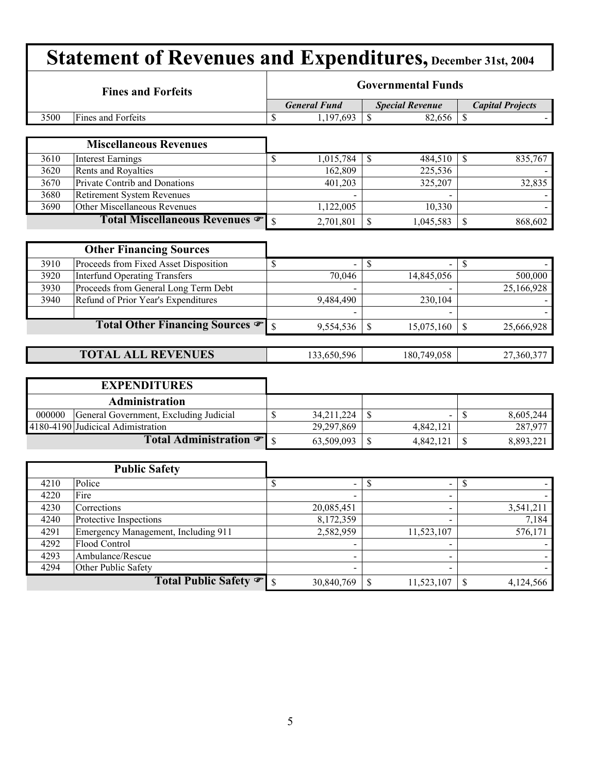| <b>Statement of Revenues and Expenditures, December 31st, 2004</b> |                                        |                          |                           |                                                          |               |                         |  |  |  |  |  |
|--------------------------------------------------------------------|----------------------------------------|--------------------------|---------------------------|----------------------------------------------------------|---------------|-------------------------|--|--|--|--|--|
|                                                                    | <b>Fines and Forfeits</b>              |                          | <b>Governmental Funds</b> |                                                          |               |                         |  |  |  |  |  |
|                                                                    |                                        |                          | <b>General Fund</b>       | <b>Special Revenue</b>                                   |               | <b>Capital Projects</b> |  |  |  |  |  |
| 3500                                                               | Fines and Forfeits                     | \$                       | 1,197,693                 | $\mathcal{S}$<br>82,656                                  | $\mathcal{S}$ |                         |  |  |  |  |  |
|                                                                    |                                        |                          |                           |                                                          |               |                         |  |  |  |  |  |
|                                                                    | <b>Miscellaneous Revenues</b>          |                          |                           |                                                          |               |                         |  |  |  |  |  |
| 3610                                                               | <b>Interest Earnings</b>               | \$                       | 1,015,784                 | 484,510<br>$\mathbb{S}$                                  | \$            | 835,767                 |  |  |  |  |  |
| 3620                                                               | Rents and Royalties                    |                          | 162,809                   | 225,536                                                  |               |                         |  |  |  |  |  |
| 3670                                                               | Private Contrib and Donations          |                          | 401,203                   | 325,207                                                  |               | 32,835                  |  |  |  |  |  |
| 3680                                                               | <b>Retirement System Revenues</b>      |                          |                           |                                                          |               |                         |  |  |  |  |  |
| 3690                                                               | Other Miscellaneous Revenues           |                          | 1,122,005                 | 10,330                                                   |               |                         |  |  |  |  |  |
|                                                                    | Total Miscellaneous Revenues           | \$                       | 2,701,801                 | \$<br>1,045,583                                          | \$            | 868,602                 |  |  |  |  |  |
|                                                                    |                                        |                          |                           |                                                          |               |                         |  |  |  |  |  |
|                                                                    | <b>Other Financing Sources</b>         |                          |                           |                                                          |               |                         |  |  |  |  |  |
| 3910                                                               | Proceeds from Fixed Asset Disposition  | \$                       |                           | \$                                                       | S             |                         |  |  |  |  |  |
| 3920                                                               | <b>Interfund Operating Transfers</b>   |                          | 70,046                    | 14,845,056                                               |               | 500,000                 |  |  |  |  |  |
| 3930                                                               | Proceeds from General Long Term Debt   |                          |                           |                                                          |               | 25,166,928              |  |  |  |  |  |
| 3940                                                               | Refund of Prior Year's Expenditures    |                          | 9,484,490                 | 230,104                                                  |               |                         |  |  |  |  |  |
|                                                                    |                                        |                          |                           |                                                          |               |                         |  |  |  |  |  |
|                                                                    | Total Other Financing Sources          | $\mathcal{S}$            | 9,554,536                 | \$<br>15,075,160                                         | \$            | 25,666,928              |  |  |  |  |  |
|                                                                    |                                        |                          |                           |                                                          |               |                         |  |  |  |  |  |
|                                                                    | <b>TOTAL ALL REVENUES</b>              |                          | 133,650,596               | 180,749,058                                              |               | 27,360,377              |  |  |  |  |  |
|                                                                    |                                        |                          |                           |                                                          |               |                         |  |  |  |  |  |
|                                                                    | <b>EXPENDITURES</b>                    |                          |                           |                                                          |               |                         |  |  |  |  |  |
|                                                                    | <b>Administration</b>                  |                          |                           |                                                          |               |                         |  |  |  |  |  |
| 000000                                                             | General Government, Excluding Judicial | \$                       | 34,211,224                | \$                                                       | \$            | 8,605,244               |  |  |  |  |  |
|                                                                    | 4180-4190 Judicical Adimistration      |                          | 29,297,869                | 4,842,121                                                |               | 287,977                 |  |  |  |  |  |
|                                                                    | Total Administration $\mathcal F$      | $\mathbf S$              | 63,509,093                | \$<br>4,842,121                                          | \$            | 8,893,221               |  |  |  |  |  |
|                                                                    |                                        |                          |                           |                                                          |               |                         |  |  |  |  |  |
|                                                                    | <b>Public Safety</b>                   |                          |                           |                                                          |               |                         |  |  |  |  |  |
| 4210                                                               | Police                                 | $\overline{\mathcal{S}}$ | ۰.                        | $\overline{\mathcal{S}}$<br>$\qquad \qquad \blacksquare$ | $\sqrt{3}$    |                         |  |  |  |  |  |
| 4220                                                               | Fire                                   |                          |                           |                                                          |               |                         |  |  |  |  |  |
| 4230                                                               | Corrections                            |                          | 20,085,451                |                                                          |               | 3,541,211               |  |  |  |  |  |
| 4240                                                               | Protective Inspections                 |                          | 8,172,359                 |                                                          |               | 7,184                   |  |  |  |  |  |
| 4291                                                               | Emergency Management, Including 911    |                          | 2,582,959                 | 11,523,107                                               |               | 576,171                 |  |  |  |  |  |
| 4292                                                               | Flood Control                          |                          |                           |                                                          |               |                         |  |  |  |  |  |
| 4293                                                               | Ambulance/Rescue                       |                          |                           |                                                          |               |                         |  |  |  |  |  |
| 4294                                                               | Other Public Safety                    |                          |                           |                                                          |               |                         |  |  |  |  |  |
|                                                                    | Total Public Safety                    | $\mathbf{s}$             | 30,840,769                | 11,523,107<br>\$                                         | $\mathcal{S}$ | 4,124,566               |  |  |  |  |  |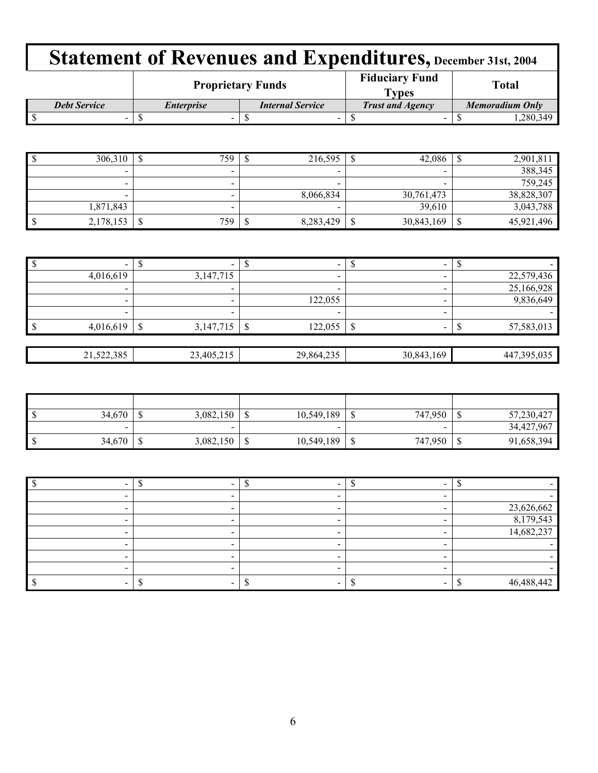|                     |                   | <b>Proprietary Funds</b> | <b>Fiduciary Fund</b><br><b>Types</b> | <b>Total</b>           |  |  |
|---------------------|-------------------|--------------------------|---------------------------------------|------------------------|--|--|
| <b>Debt Service</b> | <i>Enterprise</i> | <b>Internal Service</b>  | <b>Trust and Agency</b>               | <b>Memoradium Only</b> |  |  |
| -                   | -                 |                          |                                       | .280.349               |  |  |

| 306,310                  |   | 759 | 216,595                  | Φ | 42,086     | 2,901,81   |
|--------------------------|---|-----|--------------------------|---|------------|------------|
| -                        |   |     | -                        |   | -          | 388,345    |
| $\overline{\phantom{a}}$ |   |     | $\overline{\phantom{a}}$ |   |            | 759,245    |
| -                        |   |     | 8,066,834                |   | 30,761,473 | 38,828,307 |
| 1,871,843                |   |     |                          |   | 39,610     | 3,043,788  |
| 2,178,153                | ¢ | 759 | 8,283,429                |   | 30,843,169 | 45,921,496 |

| $\mathsf{I}$ |            |                |                          | $\overline{\phantom{a}}$ | $\overline{\phantom{a}}$      |             |
|--------------|------------|----------------|--------------------------|--------------------------|-------------------------------|-------------|
|              | 4,016,619  | 3,147,715      |                          | $\overline{\phantom{a}}$ |                               | 22,579,436  |
|              | -          |                | $\overline{\phantom{a}}$ | -                        |                               | 25,166,928  |
|              |            |                | $\overline{\phantom{a}}$ | 122,055                  |                               | 9,836,649   |
|              |            |                | $\overline{\phantom{a}}$ |                          |                               |             |
| l \$         | 4,016,619  | 3,147,715<br>S |                          | 122,055<br>S             | $\overline{\phantom{a}}$<br>P | 57,583,013  |
|              |            |                |                          |                          |                               |             |
|              | 21,522,385 | 23,405,215     |                          | 29,864,235               | 30,843,169                    | 447,395,035 |

| $\mathsf{I}$ s | 34,670 |   | 3,082,150 | w      | 10,549,189               | J  | 747,950 | 57,230,427 |
|----------------|--------|---|-----------|--------|--------------------------|----|---------|------------|
|                | $\sim$ |   | -         |        | $\overline{\phantom{a}}$ |    | -       | 34,427,967 |
| $\mathsf{I}$   | 34,670 | Ψ | 3,082,150 | ₼<br>Ψ | 10,549,189               | ۰D | 747,950 | 91,658,394 |

|  |  | 23,626,662 |
|--|--|------------|
|  |  | 8,179,543  |
|  |  | 14,682,237 |
|  |  |            |
|  |  |            |
|  |  |            |
|  |  | 46,488,442 |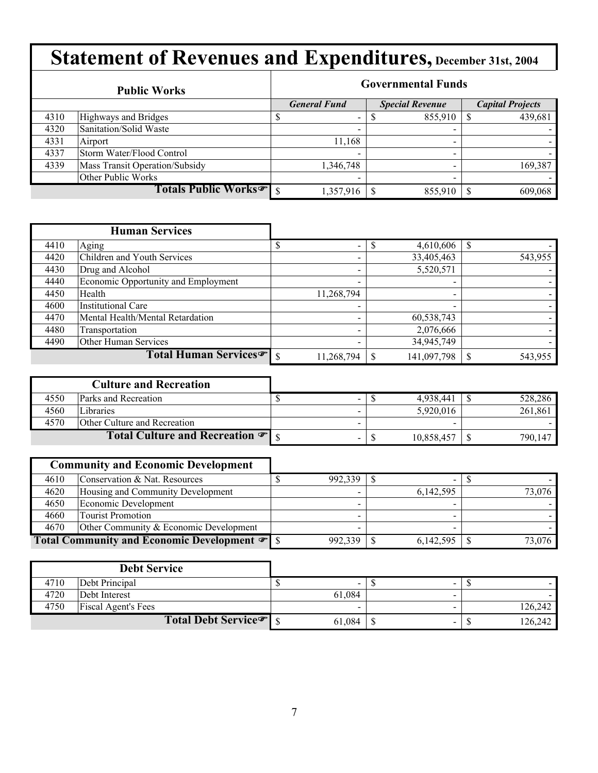|      | <b>Public Works</b>              | <b>Governmental Funds</b> |                          |  |                          |  |                         |  |  |
|------|----------------------------------|---------------------------|--------------------------|--|--------------------------|--|-------------------------|--|--|
|      |                                  |                           | <b>General Fund</b>      |  | <b>Special Revenue</b>   |  | <b>Capital Projects</b> |  |  |
| 4310 | Highways and Bridges             |                           | $\overline{\phantom{a}}$ |  | 855,910                  |  | 439,681                 |  |  |
| 4320 | Sanitation/Solid Waste           |                           | $\overline{\phantom{0}}$ |  | -                        |  |                         |  |  |
| 4331 | Airport                          |                           | 11,168                   |  | $\overline{\phantom{0}}$ |  |                         |  |  |
| 4337 | Storm Water/Flood Control        |                           | $\overline{\phantom{0}}$ |  | -                        |  |                         |  |  |
| 4339 | Mass Transit Operation/Subsidy   |                           | 1,346,748                |  | $\,$                     |  | 169,387                 |  |  |
|      | Other Public Works               |                           |                          |  |                          |  |                         |  |  |
|      | Totals Public Works <sup>®</sup> |                           | 1,357,916                |  | 855,910                  |  | 609,068                 |  |  |

|      | <b>Human Services</b>               |                          |                          |         |
|------|-------------------------------------|--------------------------|--------------------------|---------|
| 4410 | Aging                               | $\overline{\phantom{a}}$ | 4,610,606                |         |
| 4420 | Children and Youth Services         | $\overline{\phantom{a}}$ | 33,405,463               | 543,955 |
| 4430 | Drug and Alcohol                    |                          | 5,520,571                |         |
| 4440 | Economic Opportunity and Employment |                          | $\overline{\phantom{a}}$ |         |
| 4450 | Health                              | 11,268,794               | $\blacksquare$           |         |
| 4600 | <b>Institutional Care</b>           |                          |                          |         |
| 4470 | Mental Health/Mental Retardation    |                          | 60,538,743               |         |
| 4480 | Transportation                      |                          | 2,076,666                |         |
| 4490 | Other Human Services                |                          | 34,945,749               |         |
|      | Total Human Services <sup>T</sup> s | 11,268,794               | 141,097,798              | 543,955 |

|      | <b>Culture and Recreation</b>                |  |            |   |         |
|------|----------------------------------------------|--|------------|---|---------|
| 4550 | <b>Parks and Recreation</b>                  |  | 4.938.441  |   | 528,286 |
| 4560 | Libraries                                    |  | 5.920.016  |   | 261,861 |
| 4570 | Other Culture and Recreation                 |  |            | - |         |
|      | Total Culture and Recreation $\mathcal{F}$ s |  | 10,858,457 |   | 790.147 |

| <b>Community and Economic Development</b> |                                        |  |         |                          |        |
|-------------------------------------------|----------------------------------------|--|---------|--------------------------|--------|
| 4610                                      | Conservation & Nat. Resources          |  | 992,339 | $\overline{\phantom{a}}$ |        |
| 4620                                      | Housing and Community Development      |  |         | 6,142,595                | 73,076 |
| 4650                                      | Economic Development                   |  |         |                          |        |
| 4660                                      | <b>Tourist Promotion</b>               |  |         |                          |        |
| 4670                                      | Other Community & Economic Development |  |         |                          |        |
|                                           |                                        |  | 992,339 | 6,142,595                | 73.076 |

|      | <b>Debt Service</b>                |        |                          |         |
|------|------------------------------------|--------|--------------------------|---------|
| 4710 | Debt Principal                     | $\sim$ | -                        |         |
| 4720 | Debt Interest                      | 61,084 | -                        |         |
| 4750 | <b>Fiscal Agent's Fees</b>         |        |                          | 126,242 |
|      | Total Debt Service <sup>or</sup> S | 61,084 | $\overline{\phantom{a}}$ | 126,242 |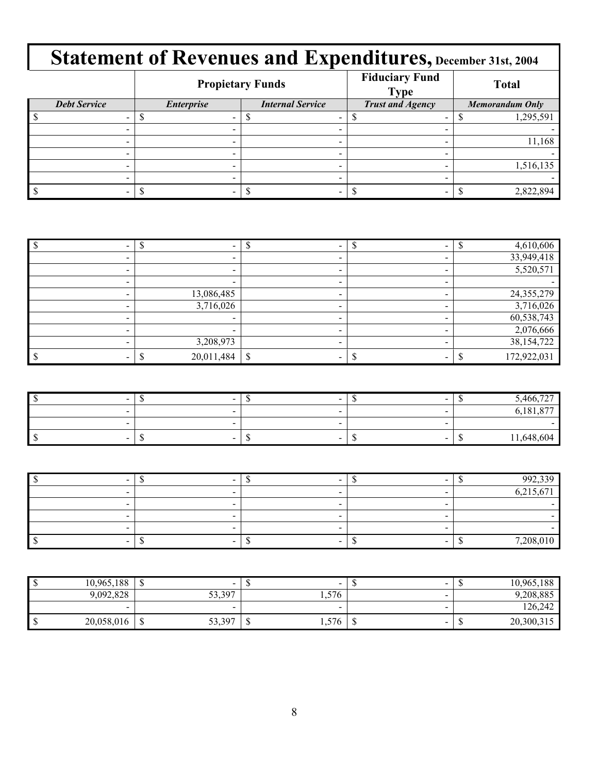|                     | <b>Propietary Funds</b>                      |   | <b>Fiduciary Fund</b><br><b>Type</b> | <b>Total</b>           |  |  |
|---------------------|----------------------------------------------|---|--------------------------------------|------------------------|--|--|
| <b>Debt Service</b> | <b>Internal Service</b><br><b>Enterprise</b> |   | <b>Trust and Agency</b>              | <b>Memorandum Only</b> |  |  |
|                     |                                              |   |                                      | 1,295,591              |  |  |
|                     |                                              |   |                                      |                        |  |  |
|                     |                                              |   |                                      | 11,168                 |  |  |
|                     |                                              |   |                                      |                        |  |  |
|                     |                                              |   |                                      | 1,516,135              |  |  |
|                     | -                                            | - |                                      |                        |  |  |
|                     |                                              |   |                                      | 2,822,894              |  |  |

|                          |  | 4,610,606    |
|--------------------------|--|--------------|
|                          |  | 33,949,418   |
| -                        |  | 5,520,571    |
| $\overline{\phantom{0}}$ |  |              |
| 13,086,485               |  | 24, 355, 279 |
| 3,716,026                |  | 3,716,026    |
|                          |  | 60,538,743   |
|                          |  | 2,076,666    |
| 3,208,973                |  | 38, 154, 722 |
| 20,011,484               |  | 172,922,031  |

| $\sim$ | $\sim$ | $\sim$                           | $\sim$ | 5,466                 |
|--------|--------|----------------------------------|--------|-----------------------|
| $\sim$ |        | -                                |        | $\sim$<br>$\sim$ $ -$ |
|        |        | -                                |        |                       |
| $\sim$ | $\sim$ | $\overline{\phantom{a}}$<br>- 11 | $\sim$ | 1,648<br>ำ604<br>- 12 |

|  |   | 002330    |
|--|---|-----------|
|  |   | 6,215,671 |
|  | - |           |
|  |   |           |
|  |   |           |
|  |   | 7,208,010 |

| 10,965,188 | $\sim$                     | $\overline{\phantom{a}}$ | $\sim$                         |   | 10,965,188 |
|------------|----------------------------|--------------------------|--------------------------------|---|------------|
| 9,092,828  | 33,397                     | 1,576                    | -                              |   | 9,208,885  |
| $\sim$     | $\sim$                     | $\overline{\phantom{a}}$ | $\sim$                         |   | 126,242    |
| 20,058,016 | 53,397<br>$\triangle$<br>Ψ | 1,576                    | $\overline{\phantom{a}}$<br>۰U | w | 20,300,315 |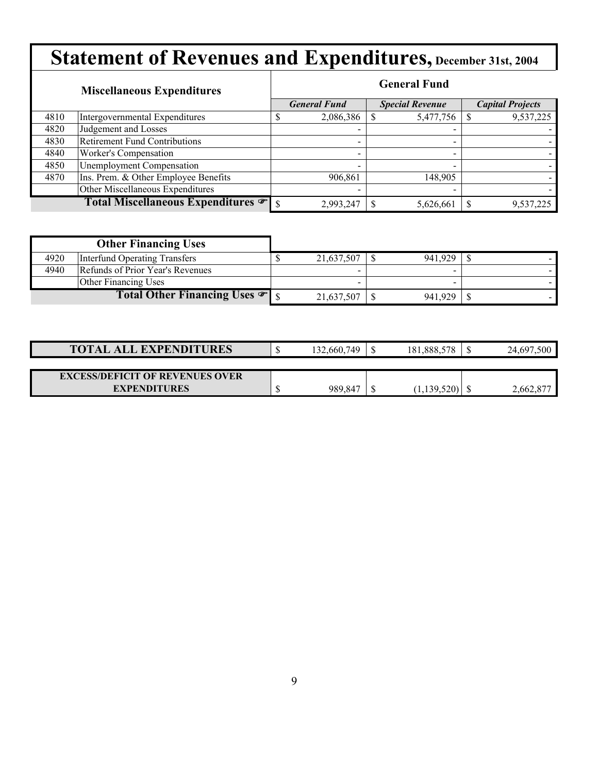|      | <b>Miscellaneous Expenditures</b>    |                          | <b>General Fund</b>      |                         |
|------|--------------------------------------|--------------------------|--------------------------|-------------------------|
|      |                                      | <b>General Fund</b>      | <b>Special Revenue</b>   | <b>Capital Projects</b> |
| 4810 | Intergovernmental Expenditures       | 2,086,386                | 5,477,756                | 9,537,225               |
| 4820 | Judgement and Losses                 |                          |                          |                         |
| 4830 | <b>Retirement Fund Contributions</b> | $\overline{\phantom{a}}$ | $\qquad \qquad$          |                         |
| 4840 | Worker's Compensation                | -                        | $\overline{\phantom{0}}$ |                         |
| 4850 | <b>Unemployment Compensation</b>     |                          |                          |                         |
| 4870 | Ins. Prem. & Other Employee Benefits | 906,861                  | 148,905                  |                         |
|      | Other Miscellaneous Expenditures     |                          | -                        |                         |
|      | Total Miscellaneous Expenditures     | 2,993,247                | 5,626,661                | 9,537,225               |

|      | <b>Other Financing Uses</b>                |            |         |  |
|------|--------------------------------------------|------------|---------|--|
| 4920 | Interfund Operating Transfers              | 21,637,507 | 941.929 |  |
| 4940 | Refunds of Prior Year's Revenues           |            |         |  |
|      | <b>Other Financing Uses</b>                |            |         |  |
|      | Total Other Financing Uses $\mathcal{F}$ s | 21,637,507 | 941.929 |  |

| <b>TOTAL ALL EXPENDITURES</b>          | 132,660,749 | 181,888,578              | .500<br>24,697 |
|----------------------------------------|-------------|--------------------------|----------------|
|                                        |             |                          |                |
| <b>EXCESS/DEFICIT OF REVENUES OVER</b> |             |                          |                |
| <b>EXPENDITURES</b>                    | 989,847     | $1,139,520$ <sup>1</sup> | 2,662,877      |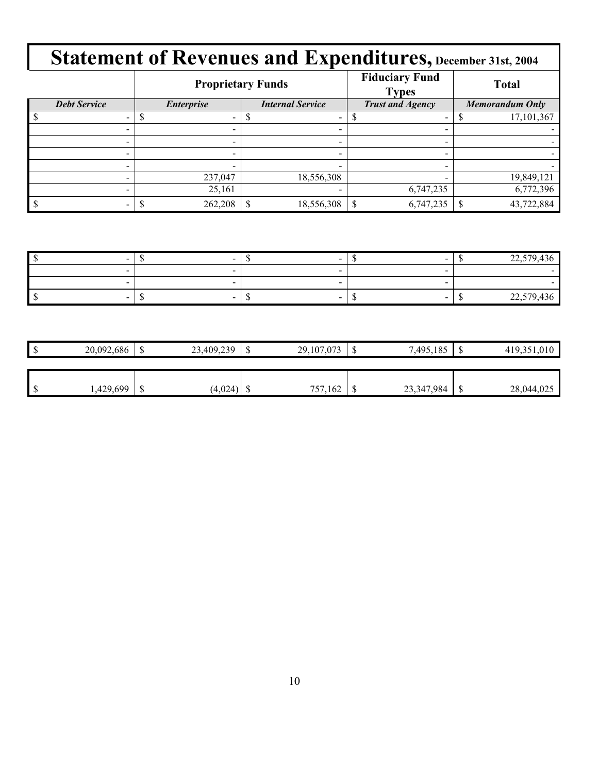|                          |                   | <b>Proprietary Funds</b> | <b>Fiduciary Fund</b><br><b>Types</b> | <b>Total</b>    |  |
|--------------------------|-------------------|--------------------------|---------------------------------------|-----------------|--|
| <b>Debt Service</b>      | <b>Enterprise</b> | <b>Internal Service</b>  | <b>Trust and Agency</b>               | Memorandum Only |  |
|                          |                   |                          |                                       | 17,101,367      |  |
|                          | -                 |                          |                                       |                 |  |
|                          |                   |                          |                                       |                 |  |
| $\overline{\phantom{a}}$ | -                 | $\overline{\phantom{0}}$ |                                       |                 |  |
|                          |                   |                          |                                       |                 |  |
|                          | 237,047           | 18,556,308               |                                       | 19,849,121      |  |
|                          | 25,161            |                          | 6,747,235                             | 6,772,396       |  |
|                          | 262,208           | 18,556,308               | 6,747,235                             | 43,722,884      |  |

| $\sim$ | $\sim$ | $\sim$                   | $\cap$<br>-- | $\sqrt{2}$<br>.770                          |
|--------|--------|--------------------------|--------------|---------------------------------------------|
|        |        |                          |              |                                             |
| -      |        |                          |              |                                             |
| -      | -      | $\overline{\phantom{a}}$ |              | 42 <sup>2</sup><br>22.570<br>. JU<br>ا پہنے |

| ۰U | 20,092,686 | $\triangle$<br>◡ | 23,409,239 | J | 29,107,073   | ₼ | 7,495,185  |   | 010        |
|----|------------|------------------|------------|---|--------------|---|------------|---|------------|
|    |            |                  |            |   |              |   |            |   |            |
|    |            |                  |            |   |              |   |            |   |            |
| ۵D | ,429,699   | $\sqrt{2}$<br>◡  | (4,024)    |   | 757.<br>,162 | w | 23,347,984 | u | 28,044,025 |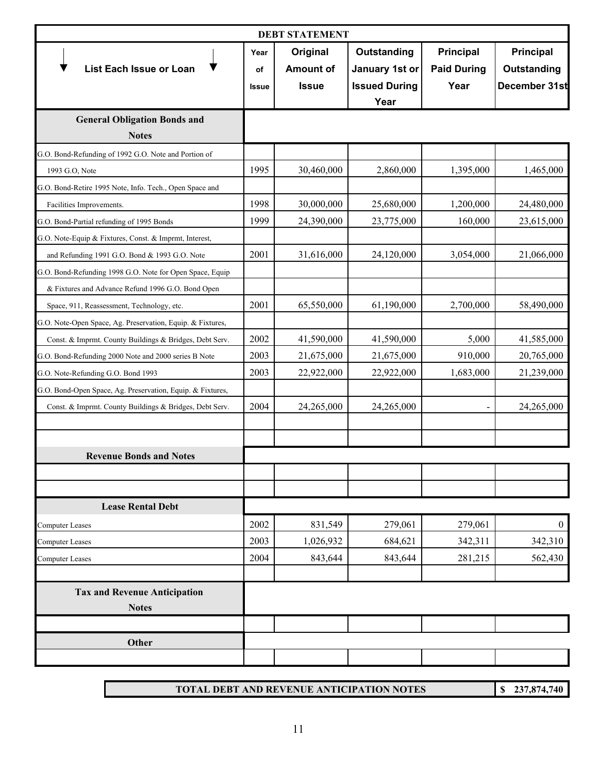| <b>DEBT STATEMENT</b>                                                                                     |                            |                                              |                                                               |                                                |                                           |  |
|-----------------------------------------------------------------------------------------------------------|----------------------------|----------------------------------------------|---------------------------------------------------------------|------------------------------------------------|-------------------------------------------|--|
| <b>List Each Issue or Loan</b>                                                                            | Year<br>οf<br><b>Issue</b> | Original<br><b>Amount of</b><br><b>Issue</b> | Outstanding<br>January 1st or<br><b>Issued During</b><br>Year | <b>Principal</b><br><b>Paid During</b><br>Year | Principal<br>Outstanding<br>December 31st |  |
| <b>General Obligation Bonds and</b>                                                                       |                            |                                              |                                                               |                                                |                                           |  |
| <b>Notes</b>                                                                                              |                            |                                              |                                                               |                                                |                                           |  |
| G.O. Bond-Refunding of 1992 G.O. Note and Portion of                                                      |                            |                                              |                                                               |                                                |                                           |  |
| 1993 G.O, Note                                                                                            | 1995                       | 30,460,000                                   | 2,860,000                                                     | 1,395,000                                      | 1,465,000                                 |  |
| G.O. Bond-Retire 1995 Note, Info. Tech., Open Space and                                                   | 1998                       |                                              |                                                               |                                                |                                           |  |
| Facilities Improvements.                                                                                  | 1999                       | 30,000,000                                   | 25,680,000                                                    | 1,200,000<br>160,000                           | 24,480,000                                |  |
| G.O. Bond-Partial refunding of 1995 Bonds                                                                 |                            | 24,390,000                                   | 23,775,000                                                    |                                                | 23,615,000                                |  |
| G.O. Note-Equip & Fixtures, Const. & Imprmt, Interest,                                                    | 2001                       |                                              |                                                               |                                                |                                           |  |
| and Refunding 1991 G.O. Bond & 1993 G.O. Note<br>G.O. Bond-Refunding 1998 G.O. Note for Open Space, Equip |                            | 31,616,000                                   | 24,120,000                                                    | 3,054,000                                      | 21,066,000                                |  |
| & Fixtures and Advance Refund 1996 G.O. Bond Open                                                         |                            |                                              |                                                               |                                                |                                           |  |
| Space, 911, Reassessment, Technology, etc.                                                                | 2001                       | 65,550,000                                   | 61,190,000                                                    | 2,700,000                                      | 58,490,000                                |  |
| G.O. Note-Open Space, Ag. Preservation, Equip. & Fixtures,                                                |                            |                                              |                                                               |                                                |                                           |  |
| Const. & Imprmt. County Buildings & Bridges, Debt Serv.                                                   | 2002                       | 41,590,000                                   | 41,590,000                                                    | 5,000                                          | 41,585,000                                |  |
| G.O. Bond-Refunding 2000 Note and 2000 series B Note                                                      | 2003                       | 21,675,000                                   | 21,675,000                                                    | 910,000                                        | 20,765,000                                |  |
| G.O. Note-Refunding G.O. Bond 1993                                                                        | 2003                       | 22,922,000                                   | 22,922,000                                                    | 1,683,000                                      | 21,239,000                                |  |
| G.O. Bond-Open Space, Ag. Preservation, Equip. & Fixtures,                                                |                            |                                              |                                                               |                                                |                                           |  |
| Const. & Imprmt. County Buildings & Bridges, Debt Serv.                                                   | 2004                       | 24,265,000                                   | 24,265,000                                                    | $\blacksquare$                                 | 24,265,000                                |  |
|                                                                                                           |                            |                                              |                                                               |                                                |                                           |  |
| <b>Revenue Bonds and Notes</b>                                                                            |                            |                                              |                                                               |                                                |                                           |  |
|                                                                                                           |                            |                                              |                                                               |                                                |                                           |  |
| <b>Lease Rental Debt</b>                                                                                  |                            |                                              |                                                               |                                                |                                           |  |
| <b>Computer Leases</b>                                                                                    | 2002                       | 831,549                                      | 279,061                                                       | 279,061                                        | $\boldsymbol{0}$                          |  |
| Computer Leases                                                                                           | 2003                       | 1,026,932                                    | 684,621                                                       | 342,311                                        | 342,310                                   |  |
| Computer Leases                                                                                           | 2004                       | 843,644                                      | 843,644                                                       | 281,215                                        | 562,430                                   |  |
| <b>Tax and Revenue Anticipation</b><br><b>Notes</b>                                                       |                            |                                              |                                                               |                                                |                                           |  |
|                                                                                                           |                            |                                              |                                                               |                                                |                                           |  |
| Other                                                                                                     |                            |                                              |                                                               |                                                |                                           |  |
|                                                                                                           |                            |                                              |                                                               |                                                |                                           |  |

**TOTAL DEBT AND REVENUE ANTICIPATION NOTES**

**\$ 237,874,740**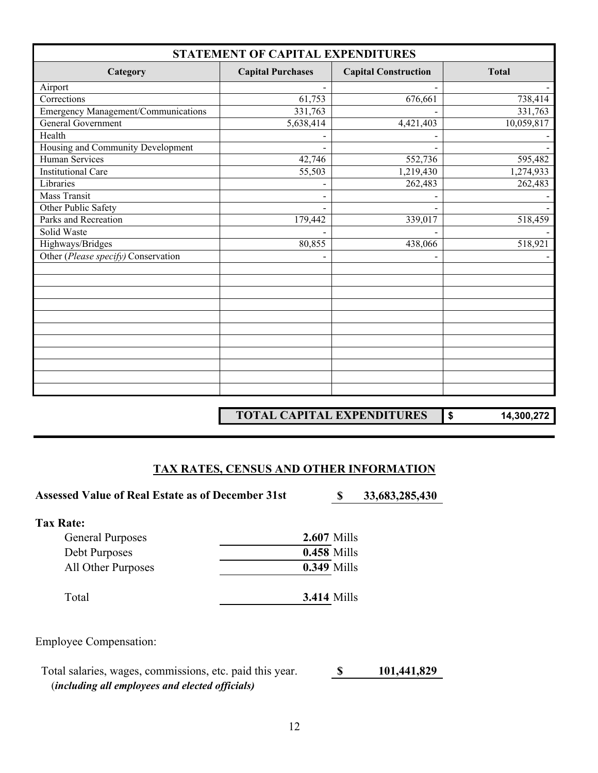| STATEMENT OF CAPITAL EXPENDITURES   |                          |                             |              |  |  |  |
|-------------------------------------|--------------------------|-----------------------------|--------------|--|--|--|
| Category                            | <b>Capital Purchases</b> | <b>Capital Construction</b> | <b>Total</b> |  |  |  |
| Airport                             |                          |                             |              |  |  |  |
| Corrections                         | 61,753                   | 676,661                     | 738,414      |  |  |  |
| Emergency Management/Communications | 331,763                  |                             | 331,763      |  |  |  |
| General Government                  | 5,638,414                | 4,421,403                   | 10,059,817   |  |  |  |
| Health                              |                          |                             |              |  |  |  |
| Housing and Community Development   |                          |                             |              |  |  |  |
| Human Services                      | 42,746                   | 552,736                     | 595,482      |  |  |  |
| <b>Institutional Care</b>           | 55,503                   | 1,219,430                   | 1,274,933    |  |  |  |
| Libraries                           |                          | 262,483                     | 262,483      |  |  |  |
| <b>Mass Transit</b>                 |                          |                             |              |  |  |  |
| Other Public Safety                 |                          |                             |              |  |  |  |
| Parks and Recreation                | 179,442                  | 339,017                     | 518,459      |  |  |  |
| Solid Waste                         |                          |                             |              |  |  |  |
| Highways/Bridges                    | 80,855                   | 438,066                     | 518,921      |  |  |  |
| Other (Please specify) Conservation |                          |                             |              |  |  |  |
|                                     |                          |                             |              |  |  |  |
|                                     |                          |                             |              |  |  |  |
|                                     |                          |                             |              |  |  |  |
|                                     |                          |                             |              |  |  |  |
|                                     |                          |                             |              |  |  |  |
|                                     |                          |                             |              |  |  |  |
|                                     |                          |                             |              |  |  |  |
|                                     |                          |                             |              |  |  |  |
|                                     |                          |                             |              |  |  |  |
|                                     |                          |                             |              |  |  |  |
|                                     |                          |                             |              |  |  |  |

**TOTAL CAPITAL EXPENDITURES \$ 14,300,272**

#### **TAX RATES, CENSUS AND OTHER INFORMATION**

Assessed Value of Real Estate as of December 31st **\$ 33,683,285,430** 

| Tax Rate:               |                    |
|-------------------------|--------------------|
| <b>General Purposes</b> | <b>2.607 Mills</b> |
| Debt Purposes           | <b>0.458 Mills</b> |
| All Other Purposes      | <b>0.349 Mills</b> |
| Total                   | <b>3.414 Mills</b> |

Employee Compensation:

 Total salaries, wages, commissions, etc. paid this year. **\$ 101,441,829** (*including all employees and elected officials)*